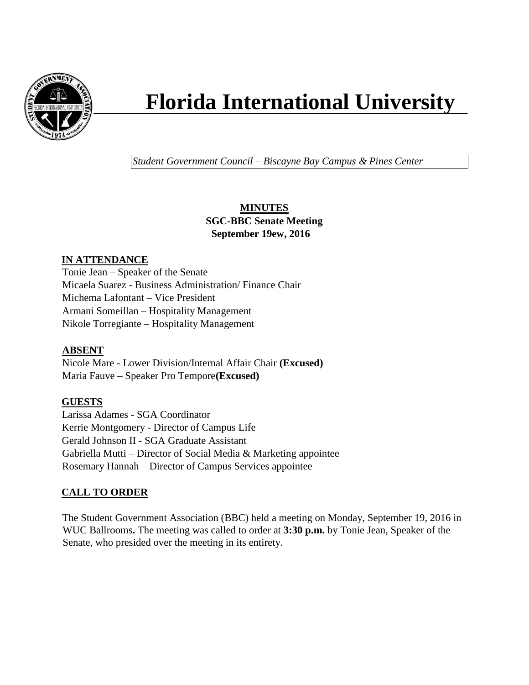

# **Florida International University**

*Student Government Council – Biscayne Bay Campus & Pines Center*

# **MINUTES SGC-BBC Senate Meeting September 19ew, 2016**

## **IN ATTENDANCE**

Tonie Jean – Speaker of the Senate Micaela Suarez - Business Administration/ Finance Chair Michema Lafontant – Vice President Armani Someillan – Hospitality Management Nikole Torregiante – Hospitality Management

## **ABSENT**

Nicole Mare - Lower Division/Internal Affair Chair **(Excused)** Maria Fauve – Speaker Pro Tempore**(Excused)**

## **GUESTS**

Larissa Adames - SGA Coordinator Kerrie Montgomery - Director of Campus Life Gerald Johnson II - SGA Graduate Assistant Gabriella Mutti – Director of Social Media & Marketing appointee Rosemary Hannah – Director of Campus Services appointee

# **CALL TO ORDER**

The Student Government Association (BBC) held a meeting on Monday, September 19, 2016 in WUC Ballrooms**.** The meeting was called to order at **3:30 p.m.** by Tonie Jean, Speaker of the Senate, who presided over the meeting in its entirety.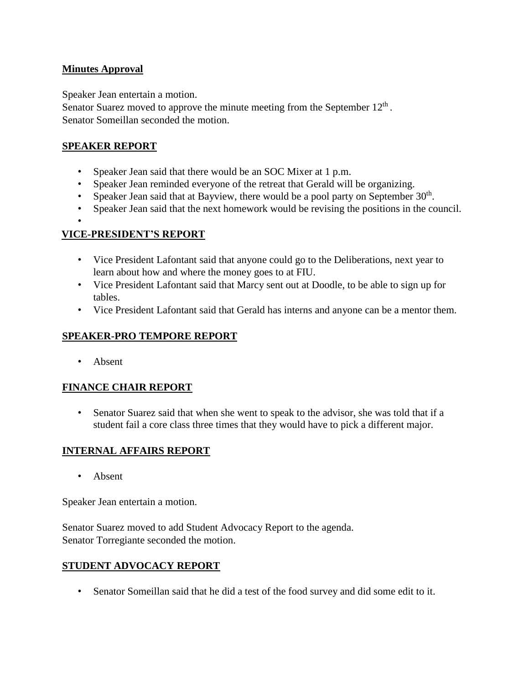#### **Minutes Approval**

Speaker Jean entertain a motion.

Senator Suarez moved to approve the minute meeting from the September  $12<sup>th</sup>$ . Senator Someillan seconded the motion.

## **SPEAKER REPORT**

- Speaker Jean said that there would be an SOC Mixer at 1 p.m.
- Speaker Jean reminded everyone of the retreat that Gerald will be organizing.
- Speaker Jean said that at Bayview, there would be a pool party on September  $30<sup>th</sup>$ .
- Speaker Jean said that the next homework would be revising the positions in the council.
- •

## **VICE-PRESIDENT'S REPORT**

- Vice President Lafontant said that anyone could go to the Deliberations, next year to learn about how and where the money goes to at FIU.
- Vice President Lafontant said that Marcy sent out at Doodle, to be able to sign up for tables.
- Vice President Lafontant said that Gerald has interns and anyone can be a mentor them.

# **SPEAKER-PRO TEMPORE REPORT**

• Absent

## **FINANCE CHAIR REPORT**

• Senator Suarez said that when she went to speak to the advisor, she was told that if a student fail a core class three times that they would have to pick a different major.

## **INTERNAL AFFAIRS REPORT**

• Absent

Speaker Jean entertain a motion.

Senator Suarez moved to add Student Advocacy Report to the agenda. Senator Torregiante seconded the motion.

## **STUDENT ADVOCACY REPORT**

• Senator Someillan said that he did a test of the food survey and did some edit to it.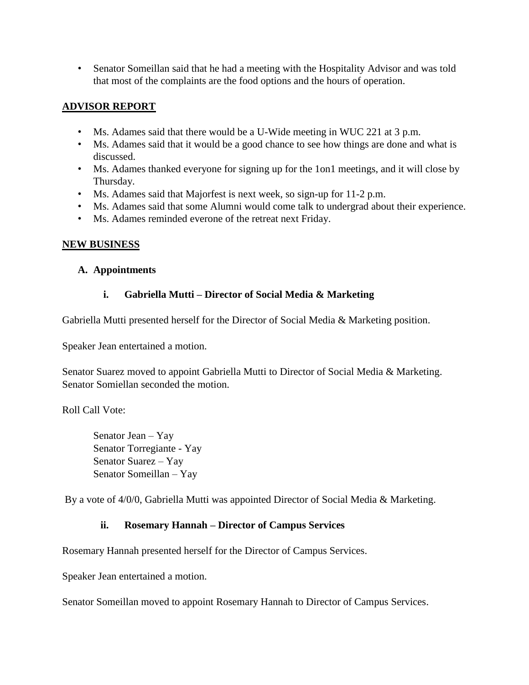• Senator Someillan said that he had a meeting with the Hospitality Advisor and was told that most of the complaints are the food options and the hours of operation.

## **ADVISOR REPORT**

- Ms. Adames said that there would be a U-Wide meeting in WUC 221 at 3 p.m.
- Ms. Adames said that it would be a good chance to see how things are done and what is discussed.
- Ms. Adames thanked everyone for signing up for the 1on1 meetings, and it will close by Thursday.
- Ms. Adames said that Majorfest is next week, so sign-up for 11-2 p.m.
- Ms. Adames said that some Alumni would come talk to undergrad about their experience.
- Ms. Adames reminded everone of the retreat next Friday.

## **NEW BUSINESS**

#### **A. Appointments**

## **i. Gabriella Mutti – Director of Social Media & Marketing**

Gabriella Mutti presented herself for the Director of Social Media & Marketing position.

Speaker Jean entertained a motion.

Senator Suarez moved to appoint Gabriella Mutti to Director of Social Media & Marketing. Senator Somiellan seconded the motion.

Roll Call Vote:

Senator Jean – Yay Senator Torregiante - Yay Senator Suarez – Yay Senator Someillan – Yay

By a vote of 4/0/0, Gabriella Mutti was appointed Director of Social Media & Marketing.

#### **ii. Rosemary Hannah – Director of Campus Services**

Rosemary Hannah presented herself for the Director of Campus Services.

Speaker Jean entertained a motion.

Senator Someillan moved to appoint Rosemary Hannah to Director of Campus Services.